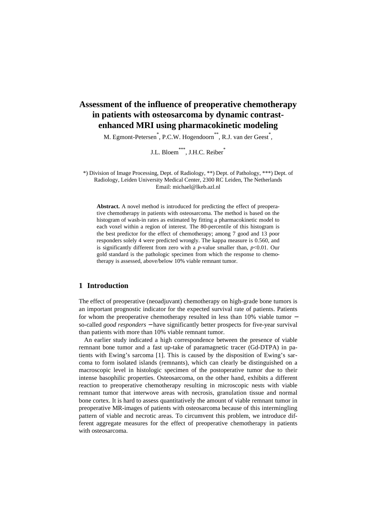# **Assessment of the influence of preoperative chemotherapy in patients with osteosarcoma by dynamic contrastenhanced MRI using pharmacokinetic modeling**

M. Egmont-Petersen<sup>\*</sup>, P.C.W. Hogendoorn<sup>\*\*</sup>, R.J. van der Geest<sup>\*</sup>,

J.L. Bloem<sup>\*\*\*</sup>, J.H.C. Reiber<sup>\*</sup>

\*) Division of Image Processing, Dept. of Radiology, \*\*) Dept. of Pathology, \*\*\*) Dept. of Radiology, Leiden University Medical Center, 2300 RC Leiden, The Netherlands Email: michael@lkeb.azl.nl

**Abstract.** A novel method is introduced for predicting the effect of preoperative chemotherapy in patients with osteosarcoma. The method is based on the histogram of wash-in rates as estimated by fitting a pharmacokinetic model to each voxel within a region of interest. The 80-percentile of this histogram is the best predictor for the effect of chemotherapy; among 7 good and 13 poor responders solely 4 were predicted wrongly. The kappa measure is 0.560, and is significantly different from zero with a *p*-value smaller than, *p*<0.01. Our gold standard is the pathologic specimen from which the response to chemotherapy is assessed, above/below 10% viable remnant tumor.

## **1 Introduction**

The effect of preoperative (neoadjuvant) chemotherapy on high-grade bone tumors is an important prognostic indicator for the expected survival rate of patients. Patients for whom the preoperative chemotherapy resulted in less than 10% viable tumor − so-called *good responders* − have significantly better prospects for five-year survival than patients with more than 10% viable remnant tumor.

An earlier study indicated a high correspondence between the presence of viable remnant bone tumor and a fast up-take of paramagnetic tracer (Gd-DTPA) in patients with Ewing's sarcoma [1]. This is caused by the disposition of Ewing's sarcoma to form isolated islands (remnants), which can clearly be distinguished on a macroscopic level in histologic specimen of the postoperative tumor due to their intense basophilic properties. Osteosarcoma, on the other hand, exhibits a different reaction to preoperative chemotherapy resulting in microscopic nests with viable remnant tumor that interwove areas with necrosis, granulation tissue and normal bone cortex. It is hard to assess quantitatively the amount of viable remnant tumor in preoperative MR-images of patients with osteosarcoma because of this intermingling pattern of viable and necrotic areas. To circumvent this problem, we introduce different aggregate measures for the effect of preoperative chemotherapy in patients with osteosarcoma.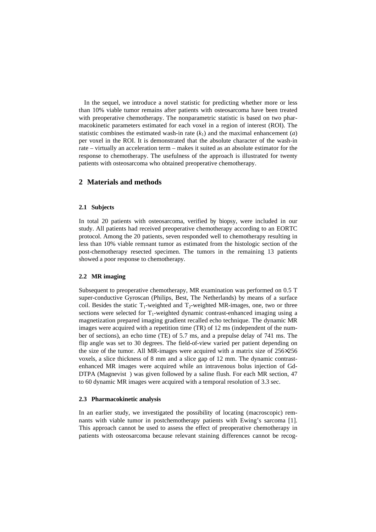In the sequel, we introduce a novel statistic for predicting whether more or less than 10% viable tumor remains after patients with osteosarcoma have been treated with preoperative chemotherapy. The nonparametric statistic is based on two pharmacokinetic parameters estimated for each voxel in a region of interest (ROI). The statistic combines the estimated wash-in rate  $(k_1)$  and the maximal enhancement (*a*) per voxel in the ROI. It is demonstrated that the absolute character of the wash-in rate – virtually an acceleration term – makes it suited as an absolute estimator for the response to chemotherapy. The usefulness of the approach is illustrated for twenty patients with osteosarcoma who obtained preoperative chemotherapy.

## **2 Materials and methods**

## **2.1 Subjects**

In total 20 patients with osteosarcoma, verified by biopsy, were included in our study. All patients had received preoperative chemotherapy according to an EORTC protocol. Among the 20 patients, seven responded well to chemotherapy resulting in less than 10% viable remnant tumor as estimated from the histologic section of the post-chemotherapy resected specimen. The tumors in the remaining 13 patients showed a poor response to chemotherapy.

## **2.2 MR imaging**

Subsequent to preoperative chemotherapy, MR examination was performed on 0.5 T super-conductive Gyroscan (Philips, Best, The Netherlands) by means of a surface coil. Besides the static  $T_1$ -weighted and  $T_2$ -weighted MR-images, one, two or three sections were selected for  $T_1$ -weighted dynamic contrast-enhanced imaging using a magnetization prepared imaging gradient recalled echo technique. The dynamic MR images were acquired with a repetition time (TR) of 12 ms (independent of the number of sections), an echo time (TE) of 5.7 ms, and a prepulse delay of 741 ms. The flip angle was set to 30 degrees. The field-of-view varied per patient depending on the size of the tumor. All MR-images were acquired with a matrix size of 256×256 voxels, a slice thickness of 8 mm and a slice gap of 12 mm. The dynamic contrastenhanced MR images were acquired while an intravenous bolus injection of Gd-DTPA (Magnevist®) was given followed by a saline flush. For each MR section, 47 to 60 dynamic MR images were acquired with a temporal resolution of 3.3 sec.

#### **2.3 Pharmacokinetic analysis**

In an earlier study, we investigated the possibility of locating (macroscopic) remnants with viable tumor in postchemotherapy patients with Ewing's sarcoma [1]. This approach cannot be used to assess the effect of preoperative chemotherapy in patients with osteosarcoma because relevant staining differences cannot be recog-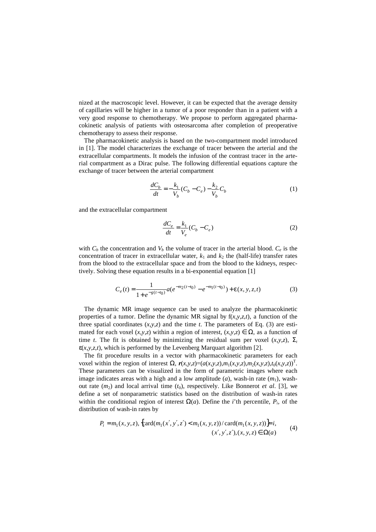nized at the macroscopic level. However, it can be expected that the average density of capillaries will be higher in a tumor of a poor responder than in a patient with a very good response to chemotherapy. We propose to perform aggregated pharmacokinetic analysis of patients with osteosarcoma after completion of preoperative chemotherapy to assess their response.

The pharmacokinetic analysis is based on the two-compartment model introduced in [1]. The model characterizes the exchange of tracer between the arterial and the extracellular compartments. It models the infusion of the contrast tracer in the arterial compartment as a Dirac pulse. The following differential equations capture the exchange of tracer between the arterial compartment

$$
\frac{dC_b}{dt} = -\frac{k_1}{V_b}(C_b - C_e) - \frac{k_2}{V_b}C_b
$$
\n(1)

and the extracellular compartment

$$
\frac{dC_e}{dt} = \frac{k_1}{V_e}(C_b - C_e)
$$
\n<sup>(2)</sup>

with  $C_b$  the concentration and  $V_b$  the volume of tracer in the arterial blood.  $C_e$  is the concentration of tracer in extracellular water,  $k_1$  and  $k_2$  the (half-life) transfer rates from the blood to the extracellular space and from the blood to the kidneys, respectively. Solving these equation results in a bi-exponential equation [1]

$$
C_e(t) = \frac{1}{1 + e^{-g(t - t_0)}} a(e^{-m_2(t - t_0)} - e^{-m_1(t - t_0)}) + \varepsilon(x, y, z, t)
$$
(3)

The dynamic MR image sequence can be used to analyze the pharmacokinetic properties of a tumor. Define the dynamic MR signal by  $f(x,y,z,t)$ , a function of the three spatial coordinates  $(x, y, z)$  and the time *t*. The parameters of Eq. (3) are estimated for each voxel  $(x, y, z)$  within a region of interest,  $(x, y, z) \in \Omega$ , as a function of time *t*. The fit is obtained by minimizing the residual sum per voxel  $(x, y, z)$ ,  $\Sigma_t$  $\varepsilon(x, y, z, t)$ , which is performed by the Levenberg Marquart algorithm [2].

The fit procedure results in a vector with pharmacokinetic parameters for each voxel within the region of interest  $\Omega$ ,  $r(x,y,z)=(a(x,y,z),m_1(x,y,z),m_2(x,y,z),t_0(x,y,z))^T$ . These parameters can be visualized in the form of parametric images where each image indicates areas with a high and a low amplitude  $(a)$ , wash-in rate  $(m_1)$ , washout rate  $(m_2)$  and local arrival time  $(t_0)$ , respectively. Like Bonnerot *et al.* [3], we define a set of nonparametric statistics based on the distribution of wash-in rates within the conditional region of interest  $\Omega(a)$ . Define the *i*'th percentile,  $P_i$ , of the distribution of wash-in rates by

$$
P_i = m_1(x, y, z), \{ \text{card}(m_1(x', y', z') < m_1(x, y, z)) / \text{card}(m_1(x, y, z)) \} = i,
$$
\n
$$
(x', y', z'), (x, y, z) \in \Omega(a)
$$
\n
$$
(4)
$$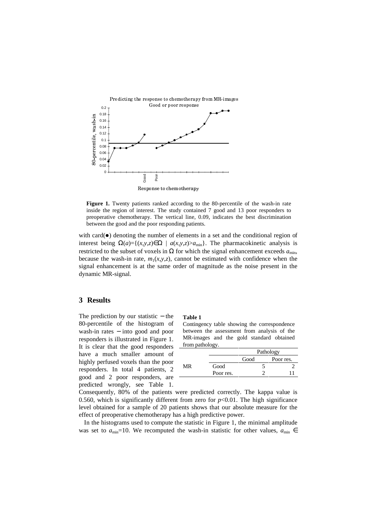

**Figure 1.** Twenty patients ranked according to the 80-percentile of the wash-in rate inside the region of interest. The study contained 7 good and 13 poor responders to preoperative chemotherapy. The vertical line, 0.09, indicates the best discrimination between the good and the poor responding patients.

with card( $\bullet$ ) denoting the number of elements in a set and the conditional region of interest being  $\Omega(a) = \{(x, y, z) \in \Omega \mid a(x, y, z) > a_{\min}\}\$ . The pharmacokinetic analysis is restricted to the subset of voxels in  $\Omega$  for which the signal enhancement exceeds  $a_{min}$ , because the wash-in rate,  $m_1(x, y, z)$ , cannot be estimated with confidence when the signal enhancement is at the same order of magnitude as the noise present in the dynamic MR-signal.

## **3 Results**

The prediction by our statistic − the 80-percentile of the histogram of wash-in rates − into good and poor responders is illustrated in Figure 1. It is clear that the good responders have a much smaller amount of highly perfused voxels than the poor responders. In total 4 patients, 2 good and 2 poor responders, are predicted wrongly, see Table 1.

#### **Table 1**

Contingency table showing the correspondence between the assessment from analysis of the MR-images and the gold standard obtained from pathology.

|    |           | Pathology |           |
|----|-----------|-----------|-----------|
|    |           | Good      | Poor res. |
| MR | Good      |           |           |
|    | Poor res. |           |           |
|    |           |           |           |

Consequently, 80% of the patients were predicted correctly. The kappa value is 0.560, which is significantly different from zero for  $p<0.01$ . The high significance level obtained for a sample of 20 patients shows that our absolute measure for the effect of preoperative chemotherapy has a high predictive power.

In the histograms used to compute the statistic in Figure 1, the minimal amplitude was set to  $a_{\text{min}}$ =10. We recomputed the wash-in statistic for other values,  $a_{\text{min}}$  ∈